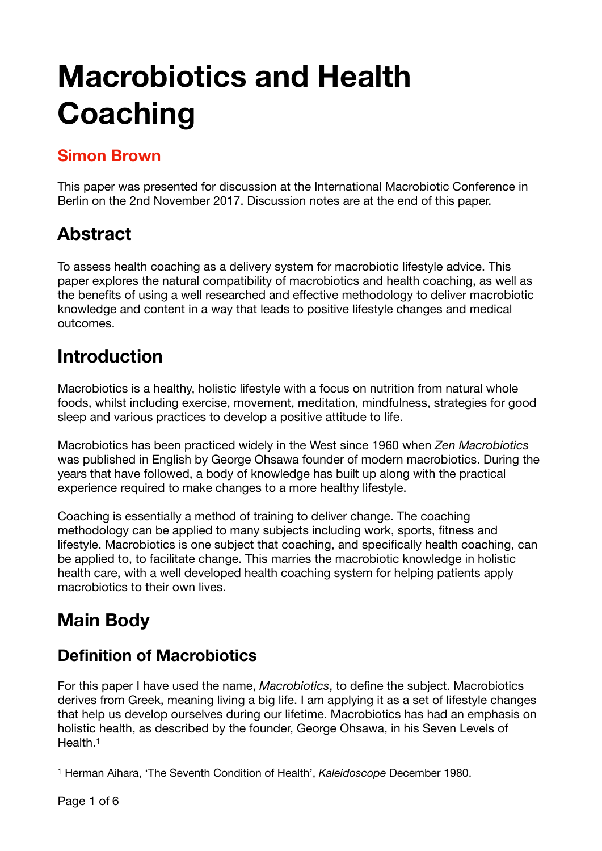# **Macrobiotics and Health Coaching**

### **Simon Brown**

This paper was presented for discussion at the International Macrobiotic Conference in Berlin on the 2nd November 2017. Discussion notes are at the end of this paper.

# **Abstract**

To assess health coaching as a delivery system for macrobiotic lifestyle advice. This paper explores the natural compatibility of macrobiotics and health coaching, as well as the benefits of using a well researched and effective methodology to deliver macrobiotic knowledge and content in a way that leads to positive lifestyle changes and medical outcomes.

## **Introduction**

Macrobiotics is a healthy, holistic lifestyle with a focus on nutrition from natural whole foods, whilst including exercise, movement, meditation, mindfulness, strategies for good sleep and various practices to develop a positive attitude to life.

Macrobiotics has been practiced widely in the West since 1960 when *Zen Macrobiotics* was published in English by George Ohsawa founder of modern macrobiotics. During the years that have followed, a body of knowledge has built up along with the practical experience required to make changes to a more healthy lifestyle.

Coaching is essentially a method of training to deliver change. The coaching methodology can be applied to many subjects including work, sports, fitness and lifestyle. Macrobiotics is one subject that coaching, and specifically health coaching, can be applied to, to facilitate change. This marries the macrobiotic knowledge in holistic health care, with a well developed health coaching system for helping patients apply macrobiotics to their own lives.

# **Main Body**

## **Definition of Macrobiotics**

For this paper I have used the name, *Macrobiotics*, to define the subject. Macrobiotics derives from Greek, meaning living a big life. I am applying it as a set of lifestyle changes that help us develop ourselves during our lifetime. Macrobiotics has had an emphasis on holistic health, as described by the founder, George Ohsawa, in his Seven Levels of Health.<sup>1</sup>

<span id="page-0-1"></span><span id="page-0-0"></span><sup>&</sup>lt;sup>[1](#page-0-1)</sup> Herman Aihara, 'The Seventh Condition of Health', *Kaleidoscope* December 1980.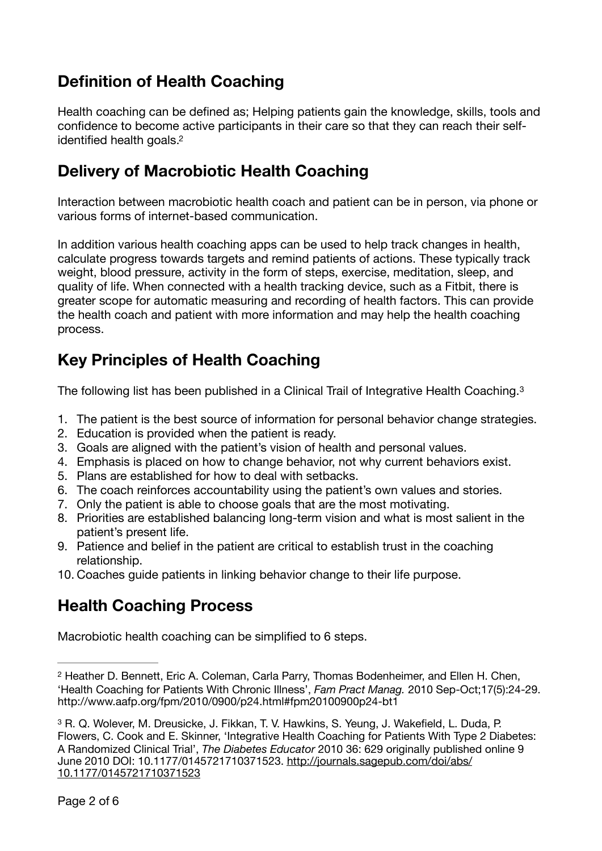#### **Definition of Health Coaching**

<span id="page-1-2"></span>Health coaching can be defined as; Helping patients gain the knowledge, skills, tools and confidence to become active participants in their care so that they can reach their selfidentified health goals.<sup>2</sup>

#### **Delivery of Macrobiotic Health Coaching**

Interaction between macrobiotic health coach and patient can be in person, via phone or various forms of internet-based communication.

In addition various health coaching apps can be used to help track changes in health, calculate progress towards targets and remind patients of actions. These typically track weight, blood pressure, activity in the form of steps, exercise, meditation, sleep, and quality of life. When connected with a health tracking device, such as a Fitbit, there is greater scope for automatic measuring and recording of health factors. This can provide the health coach and patient with more information and may help the health coaching process.

#### **Key Principles of Health Coaching**

<span id="page-1-3"></span>The following list has been published in a Clinical Trail of Integrative Health Coaching.<sup>[3](#page-1-1)</sup>

- 1. The patient is the best source of information for personal behavior change strategies.
- 2. Education is provided when the patient is ready.
- 3. Goals are aligned with the patient's vision of health and personal values.
- 4. Emphasis is placed on how to change behavior, not why current behaviors exist.
- 5. Plans are established for how to deal with setbacks.
- 6. The coach reinforces accountability using the patient's own values and stories.
- 7. Only the patient is able to choose goals that are the most motivating.
- 8. Priorities are established balancing long-term vision and what is most salient in the patient's present life.
- 9. Patience and belief in the patient are critical to establish trust in the coaching relationship.
- 10. Coaches guide patients in linking behavior change to their life purpose.

#### **Health Coaching Process**

Macrobiotic health coaching can be simplified to 6 steps.

<span id="page-1-0"></span><sup>&</sup>lt;sup>[2](#page-1-2)</sup> Heather D. Bennett, Eric A. Coleman, Carla Parry, Thomas Bodenheimer, and Ellen H. Chen, 'Health Coaching for Patients With Chronic Illness', *Fam Pract Manag.* 2010 Sep-Oct;17(5):24-29. http://www.aafp.org/fpm/2010/0900/p24.html#fpm20100900p24-bt1

<span id="page-1-1"></span><sup>&</sup>lt;sup>[3](#page-1-3)</sup> R. Q. Wolever, M. Dreusicke, J. Fikkan, T. V. Hawkins, S. Yeung, J. Wakefield, L. Duda, P. Flowers, C. Cook and E. Skinner, 'Integrative Health Coaching for Patients With Type 2 Diabetes: A Randomized Clinical Trial', *The Diabetes Educator* 2010 36: 629 originally published online 9 June 2010 DOI: 10.1177/0145721710371523. [http://journals.sagepub.com/doi/abs/](http://journals.sagepub.com/doi/abs/10.1177/0145721710371523) [10.1177/0145721710371523](http://journals.sagepub.com/doi/abs/10.1177/0145721710371523)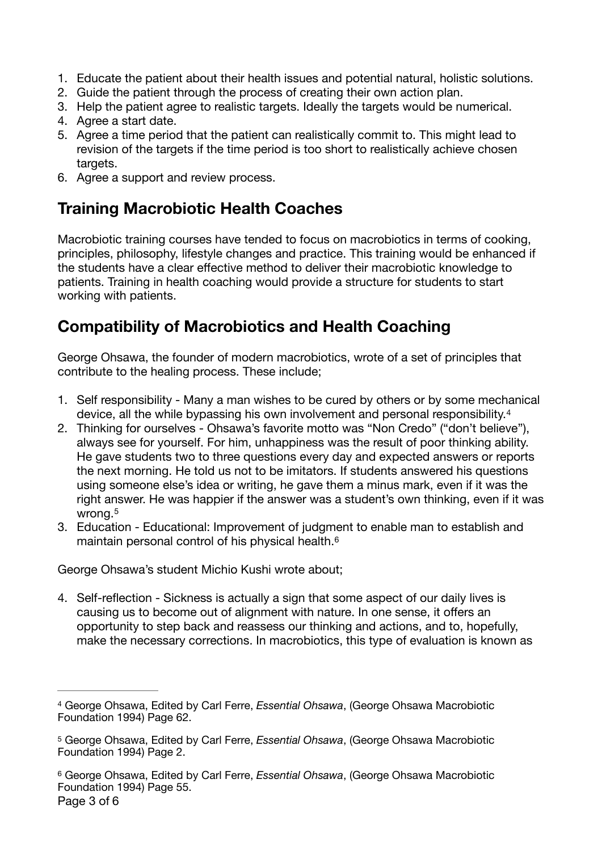- 1. Educate the patient about their health issues and potential natural, holistic solutions.
- 2. Guide the patient through the process of creating their own action plan.
- 3. Help the patient agree to realistic targets. Ideally the targets would be numerical.
- 4. Agree a start date.
- 5. Agree a time period that the patient can realistically commit to. This might lead to revision of the targets if the time period is too short to realistically achieve chosen targets.
- 6. Agree a support and review process.

### **Training Macrobiotic Health Coaches**

Macrobiotic training courses have tended to focus on macrobiotics in terms of cooking, principles, philosophy, lifestyle changes and practice. This training would be enhanced if the students have a clear effective method to deliver their macrobiotic knowledge to patients. Training in health coaching would provide a structure for students to start working with patients.

#### **Compatibility of Macrobiotics and Health Coaching**

George Ohsawa, the founder of modern macrobiotics, wrote of a set of principles that contribute to the healing process. These include;

- <span id="page-2-3"></span>1. Self responsibility - Many a man wishes to be cured by others or by some mechanical device, all the while bypassing his own involvement and personal responsibility.[4](#page-2-0)
- 2. Thinking for ourselves Ohsawa's favorite motto was "Non Credo" ("don't believe"), always see for yourself. For him, unhappiness was the result of poor thinking ability. He gave students two to three questions every day and expected answers or reports the next morning. He told us not to be imitators. If students answered his questions using someone else's idea or writing, he gave them a minus mark, even if it was the right answer. He was happier if the answer was a student's own thinking, even if it was wrong.<sup>[5](#page-2-1)</sup>
- <span id="page-2-5"></span><span id="page-2-4"></span>3. Education - Educational: Improvement of judgment to enable man to establish and maintain personal control of his physical health.[6](#page-2-2)

George Ohsawa's student Michio Kushi wrote about;

4. Self-reflection - Sickness is actually a sign that some aspect of our daily lives is causing us to become out of alignment with nature. In one sense, it offers an opportunity to step back and reassess our thinking and actions, and to, hopefully, make the necessary corrections. In macrobiotics, this type of evaluation is known as

<span id="page-2-0"></span>George Ohsawa, Edited by Carl Ferre, *Essential Ohsawa*, (George Ohsawa Macrobiotic [4](#page-2-3) Foundation 1994) Page 62.

<span id="page-2-1"></span>[<sup>5</sup>](#page-2-4) George Ohsawa, Edited by Carl Ferre, *Essential Ohsawa*, (George Ohsawa Macrobiotic Foundation 1994) Page 2.

<span id="page-2-2"></span>George Ohsawa, Edited by Carl Ferre, *Essential Ohsawa*, (George Ohsawa Macrobiotic [6](#page-2-5) Foundation 1994) Page 55. Page 3 of 6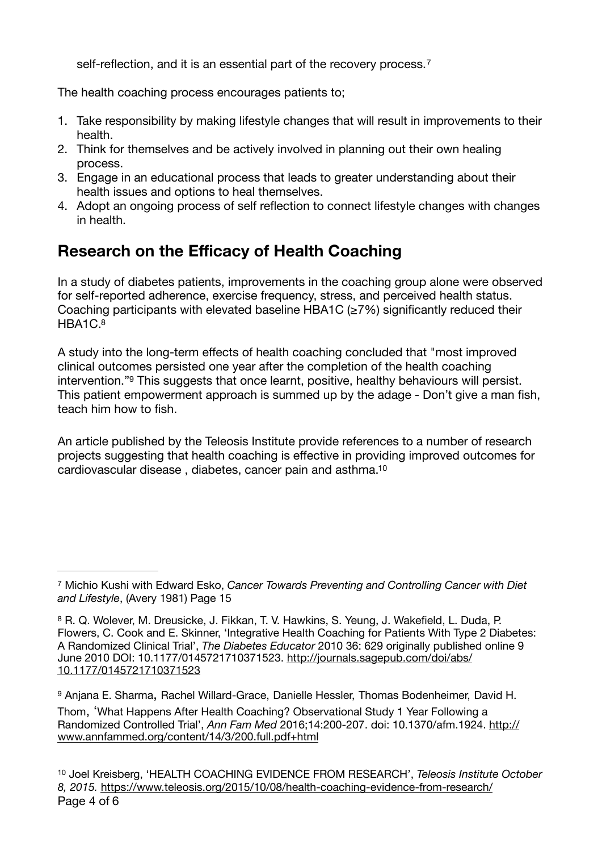<span id="page-3-4"></span>self-reflection, and it is an essential part of the recovery process.<sup>[7](#page-3-0)</sup>

The health coaching process encourages patients to;

- 1. Take responsibility by making lifestyle changes that will result in improvements to their health.
- 2. Think for themselves and be actively involved in planning out their own healing process.
- 3. Engage in an educational process that leads to greater understanding about their health issues and options to heal themselves.
- 4. Adopt an ongoing process of self reflection to connect lifestyle changes with changes in health.

#### **Research on the Efficacy of Health Coaching**

In a study of diabetes patients, improvements in the coaching group alone were observed for self-reported adherence, exercise frequency, stress, and perceived health status. Coaching participants with elevated baseline HBA1C ( $\geq$ 7%) significantly reduced their  $HBA1C.8$  $HBA1C.8$ 

<span id="page-3-6"></span><span id="page-3-5"></span>A study into the long-term effects of health coaching concluded that "most improved clinical outcomes persisted one year after the completion of the health coaching intervention.["](#page-3-2)<sup>[9](#page-3-2)</sup> This suggests that once learnt, positive, healthy behaviours will persist. This patient empowerment approach is summed up by the adage - Don't give a man fish, teach him how to fish.

<span id="page-3-7"></span>An article published by the Teleosis Institute provide references to a number of research projects suggesting that health coaching is effective in providing improved outcomes for cardiovascular disease , diabetes, cancer pain and asthma[.10](#page-3-3)

<span id="page-3-0"></span>Michio Kushi with Edward Esko, *Cancer Towards Preventing and Controlling Cancer with Diet* [7](#page-3-4) *and Lifestyle*, (Avery 1981) Page 15

<span id="page-3-1"></span><sup>&</sup>lt;sup>[8](#page-3-5)</sup> R. Q. Wolever, M. Dreusicke, J. Fikkan, T. V. Hawkins, S. Yeung, J. Wakefield, L. Duda, P. Flowers, C. Cook and E. Skinner, 'Integrative Health Coaching for Patients With Type 2 Diabetes: A Randomized Clinical Trial', *The Diabetes Educator* 2010 36: 629 originally published online 9 June 2010 DOI: 10.1177/0145721710371523. [http://journals.sagepub.com/doi/abs/](http://journals.sagepub.com/doi/abs/10.1177/0145721710371523) [10.1177/0145721710371523](http://journals.sagepub.com/doi/abs/10.1177/0145721710371523)

<span id="page-3-2"></span>[<sup>9</sup>](#page-3-6) Anjana E. Sharma, Rachel Willard-Grace, Danielle Hessler, Thomas Bodenheimer, David H. Thom, 'What Happens After Health Coaching? Observational Study 1 Year Following a Randomized Controlled Trial', *Ann Fam Med* 2016;14:200-207. doi: 10.1370/afm.1924. [http://](http://www.annfammed.org/content/14/3/200.full.pdf+html) [www.annfammed.org/content/14/3/200.full.pdf+html](http://www.annfammed.org/content/14/3/200.full.pdf+html)

<span id="page-3-3"></span>Joel Kreisberg, 'HEALTH COACHING EVIDENCE FROM RESEARCH', *Teleosis Institute October* [10](#page-3-7) *8, 2015.* <https://www.teleosis.org/2015/10/08/health-coaching-evidence-from-research/> Page 4 of 6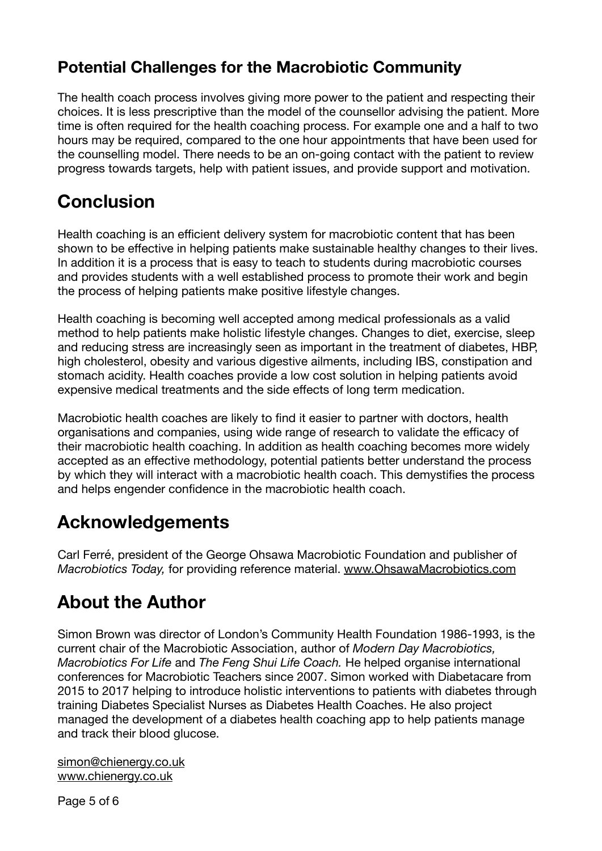#### **Potential Challenges for the Macrobiotic Community**

The health coach process involves giving more power to the patient and respecting their choices. It is less prescriptive than the model of the counsellor advising the patient. More time is often required for the health coaching process. For example one and a half to two hours may be required, compared to the one hour appointments that have been used for the counselling model. There needs to be an on-going contact with the patient to review progress towards targets, help with patient issues, and provide support and motivation.

## **Conclusion**

Health coaching is an efficient delivery system for macrobiotic content that has been shown to be effective in helping patients make sustainable healthy changes to their lives. In addition it is a process that is easy to teach to students during macrobiotic courses and provides students with a well established process to promote their work and begin the process of helping patients make positive lifestyle changes.

Health coaching is becoming well accepted among medical professionals as a valid method to help patients make holistic lifestyle changes. Changes to diet, exercise, sleep and reducing stress are increasingly seen as important in the treatment of diabetes, HBP, high cholesterol, obesity and various digestive ailments, including IBS, constipation and stomach acidity. Health coaches provide a low cost solution in helping patients avoid expensive medical treatments and the side effects of long term medication.

Macrobiotic health coaches are likely to find it easier to partner with doctors, health organisations and companies, using wide range of research to validate the efficacy of their macrobiotic health coaching. In addition as health coaching becomes more widely accepted as an effective methodology, potential patients better understand the process by which they will interact with a macrobiotic health coach. This demystifies the process and helps engender confidence in the macrobiotic health coach.

## **Acknowledgements**

Carl Ferré, president of the George Ohsawa Macrobiotic Foundation and publisher of *Macrobiotics Today,* for providing reference material. [www.OhsawaMacrobiotics.com](http://www.OhsawaMacrobiotics.com)

## **About the Author**

Simon Brown was director of London's Community Health Foundation 1986-1993, is the current chair of the Macrobiotic Association, author of *Modern Day Macrobiotics, Macrobiotics For Life* and *The Feng Shui Life Coach.* He helped organise international conferences for Macrobiotic Teachers since 2007. Simon worked with Diabetacare from 2015 to 2017 helping to introduce holistic interventions to patients with diabetes through training Diabetes Specialist Nurses as Diabetes Health Coaches. He also project managed the development of a diabetes health coaching app to help patients manage and track their blood glucose.

[simon@chienergy.co.uk](mailto:simon@chienergy.co.uk) [www.chienergy.co.uk](http://www.chienergy.co.uk)

Page 5 of 6